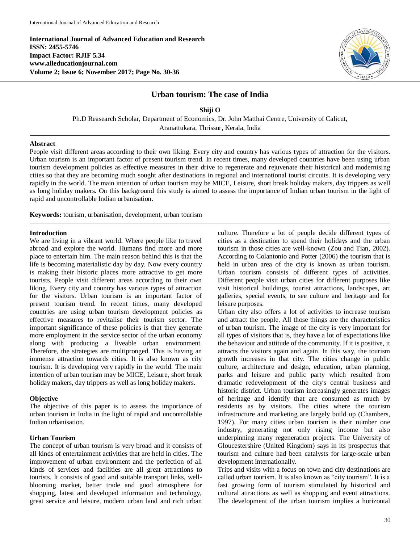**International Journal of Advanced Education and Research ISSN: 2455-5746 Impact Factor: RJIF 5.34 www.alleducationjournal.com Volume 2; Issue 6; November 2017; Page No. 30-36**



# **Urban tourism: The case of India**

**Shiji O** Ph.D Reasearch Scholar, Department of Economics, Dr. John Matthai Centre, University of Calicut,

Aranattukara, Thrissur, Kerala, India

### **Abstract**

People visit different areas according to their own liking. Every city and country has various types of attraction for the visitors. Urban tourism is an important factor of present tourism trend. In recent times, many developed countries have been using urban tourism development policies as effective measures in their drive to regenerate and rejuvenate their historical and modernising cities so that they are becoming much sought after destinations in regional and international tourist circuits. It is developing very rapidly in the world. The main intention of urban tourism may be MICE, Leisure, short break holiday makers, day trippers as well as long holiday makers. On this background this study is aimed to assess the importance of Indian urban tourism in the light of rapid and uncontrollable Indian urbanisation.

**Keywords:** tourism, urbanisation, development, urban tourism

#### **Introduction**

We are living in a vibrant world. Where people like to travel abroad and explore the world. Humans find more and more place to entertain him. The main reason behind this is that the life is becoming materialistic day by day. Now every country is making their historic places more attractive to get more tourists. People visit different areas according to their own liking. Every city and country has various types of attraction for the visitors. Urban tourism is an important factor of present tourism trend. In recent times, many developed countries are using urban tourism development policies as effective measures to revitalise their tourism sector. The important significance of these policies is that they generate more employment in the service sector of the urban economy along with producing a liveable urban environment. Therefore, the strategies are multipronged. This is having an immense attraction towards cities. It is also known as city tourism. It is developing very rapidly in the world. The main intention of urban tourism may be MICE, Leisure, short break holiday makers, day trippers as well as long holiday makers.

#### **Objective**

The objective of this paper is to assess the importance of urban tourism in India in the light of rapid and uncontrollable Indian urbanisation.

#### **Urban Tourism**

The concept of urban tourism is very broad and it consists of all kinds of entertainment activities that are held in cities. The improvement of urban environment and the perfection of all kinds of services and facilities are all great attractions to tourists. It consists of good and suitable transport links, wellblooming market, better trade and good atmosphere for shopping, latest and developed information and technology, great service and leisure, modern urban land and rich urban culture. Therefore a lot of people decide different types of cities as a destination to spend their holidays and the urban tourism in those cities are well-known (Zou and Tian, 2002). According to Colantonio and Potter (2006) the tourism that is held in urban area of the city is known as urban tourism. Urban tourism consists of different types of activities. Different people visit urban cities for different purposes like visit historical buildings, tourist attractions, landscapes, art galleries, special events, to see culture and heritage and for leisure purposes.

Urban city also offers a lot of activities to increase tourism and attract the people. All those things are the characteristics of urban tourism. The image of the city is very important for all types of visitors that is, they have a lot of expectations like the behaviour and attitude of the community. If it is positive, it attracts the visitors again and again. In this way, the tourism growth increases in that city. The cities change in public culture, architecture and design, education, urban planning, parks and leisure and public party which resulted from dramatic redevelopment of the city's central business and historic district. Urban tourism increasingly generates images of heritage and identify that are consumed as much by residents as by visitors. The cities where the tourism infrastructure and marketing are largely build up (Chambers, 1997). For many cities urban tourism is their number one industry, generating not only rising income but also underpinning many regeneration projects. The University of Gloucestershire (United Kingdom) says in its prospectus that tourism and culture had been catalysts for large-scale urban development internationally.

Trips and visits with a focus on town and city destinations are called urban tourism. It is also known as "city tourism". It is a fast growing form of tourism stimulated by historical and cultural attractions as well as shopping and event attractions. The development of the urban tourism implies a horizontal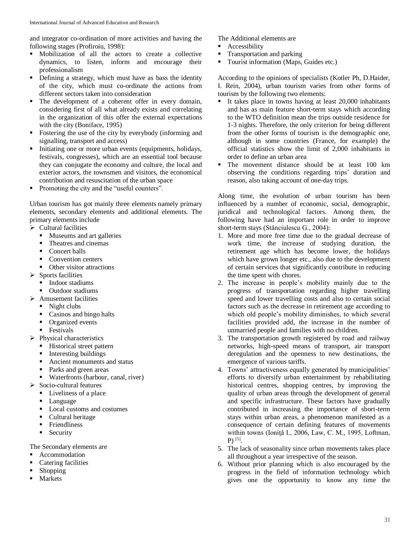and integrator co-ordination of more activities and having the following stages (Profiroiu, 1998):

- Mobilization of all the actors to create a collective dynamics, to listen, inform and encourage their professionalism
- Defining a strategy, which must have as bass the identity of the city, which must co-ordinate the actions from different sectors taken into consideration
- The development of a coherent offer in every domain, considering first of all what already exists and correlating in the organization of this offer the external expectations with the city (Boniface, 1995)
- Fostering the use of the city by everybody (informing and signalling, transport and access)
- Initiating one or more urban events (equipments, holidays, festivals, congresses), which are an essential tool because they can conjugate the economy and culture, the local and exterior actors, the townsmen and visitors, the economical contribution and resuscitation of the urban space
- Promoting the city and the "useful counters".

Urban tourism has got mainly three elements namely primary elements, secondary elements and additional elements. The primary elements include

- $\triangleright$  Cultural facilities
	- Museums and art galleries
	- Theatres and cinemas
	- Concert halls
	- Convention centers
	- Other visitor attractions
- $\triangleright$  Sports facilities
	- Indoor stadiums
	- Outdoor stadiums
- $\triangleright$  Amusement facilities
	- $\blacksquare$  Night clubs
	- Casinos and bingo halts
	- Organized events
	- **Festivals**
- $\triangleright$  Physical characteristics
	- **Historical street pattern**
	- Interesting buildings
	- Ancient monuments and status
	- Parks and green areas
	- Waterfronts (harbour, canal, river)
- $\triangleright$  Socio-cultural features
	- Liveliness of a place
		- **Language**
	- Local customs and costumes
	- Cultural heritage
	- **Friendliness**
	- Security

The Secondary elements are

- Accommodation
- **Catering facilities**
- Shopping
- Markets

The Additional elements are

- Accessibility
- **Transportation and parking**
- Tourist information (Maps, Guides etc.)

According to the opinions of specialists (Kotler Ph, D.Haider, I. Rein, 2004), urban tourism varies from other forms of tourism by the following two elements:

- It takes place in towns having at least 20,000 inhabitants and has as main feature short-term stays which according to the WTO definition mean the trips outside residence for 1-3 nights. Therefore, the only criterion for being different from the other forms of tourism is the demographic one, although in some countries (France, for example) the official statistics show the limit of 2,000 inhabitants in order to define an urban area
- The movement distance should be at least 100 km observing the conditions regarding trips' duration and reason, also taking account of one-day trips.

Along time, the evolution of urban tourism has been influenced by a number of economic, social, demographic, juridical and technological factors. Among them, the following have had an important role in order to improve short-term stays (Stănciulescu G., 2004):

- 1. More and more free time due to the gradual decrease of work time, the increase of studying duration, the retirement age which has become lower, the holidays which have grown longer etc., also due to the development of certain services that significantly contribute in reducing the time spent with chores.
- 2. The increase in people's mobility mainly due to the progress of transportation regarding higher travelling speed and lower travelling costs and also to certain social factors such as the decrease in retirement age according to which old people's mobility diminishes, to which several facilities provided add, the increase in the number of unmarried people and families with no children.
- 3. The transportation growth registered by road and railway networks, high-speed means of transport, air transport deregulation and the openness to new destinations, the emergence of various tariffs.
- 4. Towns' attractiveness equally generated by municipalities' efforts to diversify urban entertainment by rehabilitating historical centres, shopping centres, by improving the quality of urban areas through the development of general and specific infrastructure. These factors have gradually contributed in increasing the importance of short-term stays within urban areas, a phenomenon manifested as a consequence of certain defining features of movements within towns (Ioniţă I., 2006, Law, C. M., 1995, Loftman,  $P)$  [5].
- 5. The lack of seasonality since urban movements takes place all throughout a year irrespective of the season.
- 6. Without prior planning which is also encouraged by the progress in the field of information technology which gives one the opportunity to know any time the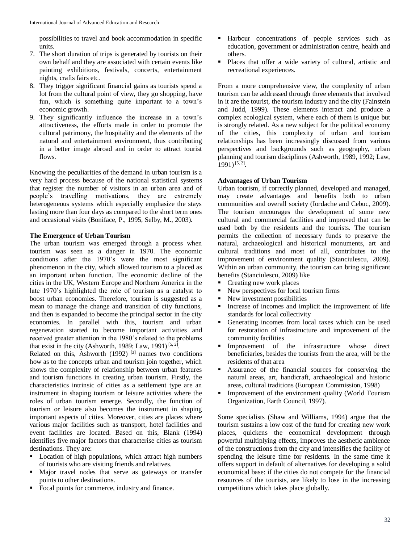possibilities to travel and book accommodation in specific units.

- 7. The short duration of trips is generated by tourists on their own behalf and they are associated with certain events like painting exhibitions, festivals, concerts, entertainment nights, crafts fairs etc.
- 8. They trigger significant financial gains as tourists spend a lot from the cultural point of view, they go shopping, have fun, which is something quite important to a town's economic growth.
- 9. They significantly influence the increase in a town's attractiveness, the efforts made in order to promote the cultural patrimony, the hospitality and the elements of the natural and entertainment environment, thus contributing in a better image abroad and in order to attract tourist flows.

Knowing the peculiarities of the demand in urban tourism is a very hard process because of the national statistical systems that register the number of visitors in an urban area and of people's travelling motivations, they are extremely heterogeneous systems which especially emphasize the stays lasting more than four days as compared to the short term ones and occasional visits (Boniface, P., 1995, Selby, M., 2003).

### **The Emergence of Urban Tourism**

The urban tourism was emerged through a process when tourism was seen as a danger in 1970. The economic conditions after the 1970's were the most significant phenomenon in the city, which allowed tourism to a placed as an important urban function. The economic decline of the cities in the UK, Western Europe and Northern America in the late 1970's highlighted the role of tourism as a catalyst to boost urban economies. Therefore, tourism is suggested as a mean to manage the change and transition of city functions, and then is expanded to become the principal sector in the city economies. In parallel with this, tourism and urban regeneration started to become important activities and received greater attention in the 1980's related to the problems that exist in the city (Ashworth, 1989; Law, 1991)<sup>[5, 2]</sup>.

Related on this, Ashworth  $(1992)$  <sup>[3]</sup> names two conditions how as to the concepts urban and tourism join together, which shows the complexity of relationship between urban features and tourism functions in creating urban tourism. Firstly, the characteristics intrinsic of cities as a settlement type are an instrument in shaping tourism or leisure activities where the roles of urban tourism emerge. Secondly, the function of tourism or leisure also becomes the instrument in shaping important aspects of cities. Moreover, cities are places where various major facilities such as transport, hotel facilities and event facilities are located. Based on this, Blank (1994) identifies five major factors that characterise cities as tourism destinations. They are:

- **Location of high populations, which attract high numbers** of tourists who are visiting friends and relatives.
- Major travel nodes that serve as gateways or transfer points to other destinations.
- Focal points for commerce, industry and finance.
- Harbour concentrations of people services such as education, government or administration centre, health and others.
- Places that offer a wide variety of cultural, artistic and recreational experiences.

From a more comprehensive view, the complexity of urban tourism can be addressed through three elements that involved in it are the tourist, the tourism industry and the city (Fainstein and Judd, 1999). These elements interact and produce a complex ecological system, where each of them is unique but is strongly related. As a new subject for the political economy of the cities, this complexity of urban and tourism relationships has been increasingly discussed from various perspectives and backgrounds such as geography, urban planning and tourism disciplines (Ashworth, 1989, 1992; Law, 1991) [5, 2] .

### **Advantages of Urban Tourism**

Urban tourism, if correctly planned, developed and managed, may create advantages and benefits both to urban communities and overall society (Iordache and Cebuc, 2009). The tourism encourages the development of some new cultural and commercial facilities and improved that can be used both by the residents and the tourists. The tourism permits the collection of necessary funds to preserve the natural, archaeological and historical monuments, art and cultural traditions and most of all, contributes to the improvement of environment quality (Stanciulescu, 2009). Within an urban community, the tourism can bring significant benefits (Stanciulescu, 2009) like

- Creating new work places
- New perspectives for local tourism firms
- New investment possibilities
- Increase of incomes and implicit the improvement of life standards for local collectivity
- Generating incomes from local taxes which can be used for restoration of infrastructure and improvement of the community facilities
- Improvement of the infrastructure whose direct beneficiaries, besides the tourists from the area, will be the residents of that area
- Assurance of the financial sources for conserving the natural areas, art, handicraft, archaeological and historic areas, cultural traditions (European Commission, 1998)
- Improvement of the environment quality (World Tourism Organization, Earth Council, 1997).

Some specialists (Shaw and Williams, 1994) argue that the tourism sustains a low cost of the fund for creating new work places, quickens the economical development through powerful multiplying effects, improves the aesthetic ambience of the constructions from the city and intensifies the facility of spending the leisure time for residents. In the same time it offers support in default of alternatives for developing a solid economical base: if the cities do not compete for the financial resources of the tourists, are likely to lose in the increasing competitions which takes place globally.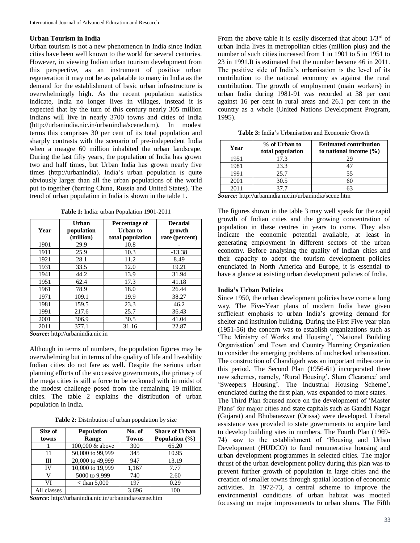### **Urban Tourism in India**

Urban tourism is not a new phenomenon in India since Indian cities have been well known to the world for several centuries. However, in viewing Indian urban tourism development from this perspective, as an instrument of positive urban regeneration it may not be as palatable to many in India as the demand for the establishment of basic urban infrastructure is overwhelmingly high. As the recent population statistics indicate, India no longer lives in villages, instead it is expected that by the turn of this century nearly 305 million Indians will live in nearly 3700 towns and cities of India (http://urbanindia.nic.in/urbanindia/scene.htm). In modest terms this comprises 30 per cent of its total population and sharply contrasts with the scenario of pre-independent India when a meagre 60 million inhabited the urban landscape. During the last fifty years, the population of India has grown two and half times, but Urban India has grown nearly five times (http://urbanindia). India's urban population is quite obviously larger than all the urban populations of the world put to together (barring China, Russia and United States). The trend of urban population in India is shown in the table 1.

**Table 1:** India: urban Population 1901-2011

| Year | Urban<br>population<br>(million) | Percentage of<br>Urban to<br>total population | <b>Decadal</b><br>growth<br>rate (percent) |
|------|----------------------------------|-----------------------------------------------|--------------------------------------------|
| 1901 | 29.9                             | 10.8                                          |                                            |
| 1911 | 25.9                             | 10.3                                          | $-13.38$                                   |
| 1921 | 28.1                             | 11.2                                          | 8.49                                       |
| 1931 | 33.5                             | 12.0                                          | 19.21                                      |
| 1941 | 44.2                             | 13.9                                          | 31.94                                      |
| 1951 | 62.4                             | 17.3                                          | 41.18                                      |
| 1961 | 78.9                             | 18.0                                          | 26.44                                      |
| 1971 | 109.1                            | 19.9                                          | 38.27                                      |
| 1981 | 159.5                            | 23.3                                          | 46.2                                       |
| 1991 | 217.6                            | 25.7                                          | 36.43                                      |
| 2001 | 306.9                            | 30.5                                          | 41.04                                      |
| 2011 | 377.1                            | 31.16                                         | 22.87                                      |

*Source***:** http://urbanindia.nic.in

Although in terms of numbers, the population figures may be overwhelming but in terms of the quality of life and liveability Indian cities do not fare as well. Despite the serious urban planning efforts of the successive governments, the primacy of the mega cities is still a force to be reckoned with in midst of the modest challenge posed from the remaining 19 million cities. The table 2 explains the distribution of urban population in India.

**Table 2:** Distribution of urban population by size

| Size of<br>towns | <b>Population</b><br>Range | No. of<br><b>Towns</b> | <b>Share of Urban</b><br>Population $(\% )$ |
|------------------|----------------------------|------------------------|---------------------------------------------|
|                  | 100,000 & above            | 300                    | 65.20                                       |
| 11               | 50,000 to 99,999           | 345                    | 10.95                                       |
| Ш                | 20,000 to 49,999           | 947                    | 13.19                                       |
| <b>IV</b>        | 10,000 to 19,999           | 1,167                  | 7.77                                        |
| v                | 5000 to 9,999              | 740                    | 2.60                                        |
| VI               | $<$ than 5,000             | 197                    | 0.29                                        |
| All classes      |                            | 3,696                  | 100                                         |

*Source***:** http://urbanindia.nic.in/urbanindia/scene.htm

From the above table it is easily discerned that about  $1/3<sup>rd</sup>$  of urban India lives in metropolitan cities (million plus) and the number of such cities increased from 1 in 1901 to 5 in 1951 to 23 in 1991.It is estimated that the number became 46 in 2011. The positive side of India's urbanisation is the level of its contribution to the national economy as against the rural contribution. The growth of employment (main workers) in urban India during 1981-91 was recorded at 38 per cent against 16 per cent in rural areas and 26.1 per cent in the country as a whole (United Nations Development Program, 1995).

| Year | % of Urban to<br>total population | <b>Estimated contribution</b><br>to national income $(\% )$ |
|------|-----------------------------------|-------------------------------------------------------------|
| 1951 | 17.3                              |                                                             |
| 1981 | 23.3                              |                                                             |
| 1991 | 25.7                              | 55                                                          |
| 2001 | 30.5                              |                                                             |
|      | 37 7                              |                                                             |

**Table 3:** India's Urbanisation and Economic Growth

*Source***:** http://urbanindia.nic.in/urbanindia/scene.htm

The figures shown in the table 3 may well speak for the rapid growth of Indian cities and the growing concentration of population in these centres in years to come. They also indicate the economic potential available, at least in generating employment in different sectors of the urban economy. Before analysing the quality of Indian cities and their capacity to adopt the tourism development policies enunciated in North America and Europe, it is essential to have a glance at existing urban development policies of India.

### **India's Urban Policies**

Since 1950, the urban development policies have come a long way. The Five-Year plans of modern India have given sufficient emphasis to urban India's growing demand for shelter and institution building. During the First Five year plan (1951-56) the concern was to establish organizations such as 'The Ministry of Works and Housing', 'National Building Organisation' and Town and Country Planning Organization to consider the emerging problems of unchecked urbanisation. The construction of Chandigarh was an important milestone in this period. The Second Plan (1956-61) incorporated three new schemes, namely, 'Rural Housing', Slum Clearance' and 'Sweepers Housing'. The Industrial Housing Scheme', enunciated during the first plan, was expanded to more states. The Third Plan focused more on the development of 'Master Plans' for major cities and state capitals such as Gandhi Nagar (Gujarat) and Bhubaneswar (Orissa) were developed. Liberal assistance was provided to state governments to acquire land to develop building sites in numbers. The Fourth Plan (1969- 74) saw to the establishment of 'Housing and Urban Development (HUDCO) to fund remunerative housing and urban development programmes in selected cities. The major thrust of the urban development policy during this plan was to prevent further growth of population in large cities and the creation of smaller towns through spatial location of economic activities. In 1972-73, a central scheme to improve the environmental conditions of urban habitat was mooted focussing on major improvements to urban slums. The Fifth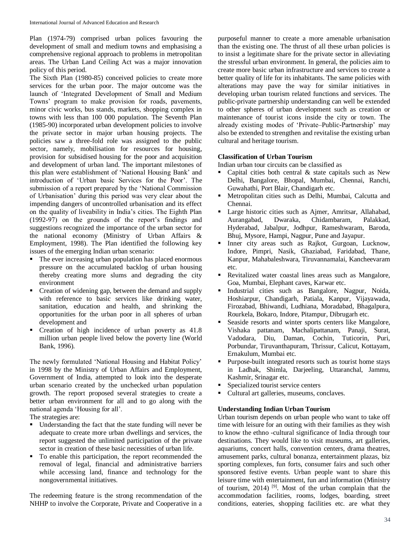Plan (1974-79) comprised urban polices favouring the development of small and medium towns and emphasising a comprehensive regional approach to problems in metropolitan areas. The Urban Land Ceiling Act was a major innovation policy of this period.

The Sixth Plan (1980-85) conceived policies to create more services for the urban poor. The major outcome was the launch of 'Integrated Development of Small and Medium Towns' program to make provision for roads, pavements, minor civic works, bus stands, markets, shopping complex in towns with less than 100 000 population. The Seventh Plan (1985-90) incorporated urban development policies to involve the private sector in major urban housing projects. The policies saw a three-fold role was assigned to the public sector, namely, mobilisation for resources for housing, provision for subsidised housing for the poor and acquisition and development of urban land. The important milestones of this plan were establishment of 'National Housing Bank' and introduction of 'Urban basic Services for the Poor'. The submission of a report prepared by the 'National Commission of Urbanisation' during this period was very clear about the impending dangers of uncontrolled urbanisation and its effect on the quality of liveability in India's cities. The Eighth Plan (1992-97) on the grounds of the report's findings and suggestions recognized the importance of the urban sector for the national economy (Ministry of Urban Affairs & Employment, 1998). The Plan identified the following key issues of the emerging Indian urban scenario:

- The ever increasing urban population has placed enormous pressure on the accumulated backlog of urban housing thereby creating more slums and degrading the city environment
- Creation of widening gap, between the demand and supply with reference to basic services like drinking water, sanitation, education and health, and shrinking the opportunities for the urban poor in all spheres of urban development and
- Creation of high incidence of urban poverty as 41.8 million urban people lived below the poverty line (World Bank, 1996).

The newly formulated 'National Housing and Habitat Policy' in 1998 by the Ministry of Urban Affairs and Employment, Government of India, attempted to look into the desperate urban scenario created by the unchecked urban population growth. The report proposed several strategies to create a better urban environment for all and to go along with the national agenda 'Housing for all'.

The strategies are:

- Understanding the fact that the state funding will never be adequate to create more urban dwellings and services, the report suggested the unlimited participation of the private sector in creation of these basic necessities of urban life.
- To enable this participation, the report recommended the removal of legal, financial and administrative barriers while accessing land, finance and technology for the nongovernmental initiatives.

The redeeming feature is the strong recommendation of the NHHP to involve the Corporate, Private and Cooperative in a purposeful manner to create a more amenable urbanisation than the existing one. The thrust of all these urban policies is to insist a legitimate share for the private sector in alleviating the stressful urban environment. In general, the policies aim to create more basic urban infrastructure and services to create a better quality of life for its inhabitants. The same policies with alterations may pave the way for similar initiatives in developing urban tourism related functions and services. The public-private partnership understanding can well be extended to other spheres of urban development such as creation or maintenance of tourist icons inside the city or town. The already existing modes of 'Private–Public-Partnership' may also be extended to strengthen and revitalise the existing urban cultural and heritage tourism.

## **Classification of Urban Tourism**

Indian urban tour circuits can be classified as

- Capital cities both central & state capitals such as New Delhi, Bangalore, Bhopal, Mumbai, Chennai, Ranchi, Guwahathi, Port Blair, Chandigarh etc.
- Metropolitan cities such as Delhi, Mumbai, Calcutta and Chennai.
- Large historic cities such as Ajmer, Amritsar, Allahabad, Aurangabad, Dwaraka, Chidambaram, Palakkad, Hyderabad, Jabalpur, Jodhpur, Rameshwaram, Baroda, Bhuj, Mysore, Hampi, Nagpur, Pune and Jayapur.
- Inner city areas such as Rajkot, Gurgoan, Lucknow, Indore, Pimpri, Nasik, Ghaziabad, Faridabad, Thane, Kanpur, Mahabaleshwara, Tiruvannamalai, Kancheevaram etc.
- Revitalized water coastal lines areas such as Mangalore, Goa, Mumbai, Elephant caves, Karwar etc.
- Industrial cities such as Bangalore, Nagpur, Noida, Hoshiarpur, Chandigarh, Patiala, Kanpur, Vijayawada, Firozabad, Bhiwandi, Ludhiana, Moradabad, Bhagalpura, Rourkela, Bokaro, Indore, Pitampur, Dibrugarh etc.
- Seaside resorts and winter sports centers like Mangalore, Vishaka pattanam, Machalipattanam, Panaji, Surat, Vadodara, Diu, Daman, Cochin, Tuticorin, Puri, Porbundar, Tiruvanthapuram, Thrissur, Calicut, Kottayam, Ernakulum, Mumbai etc.
- Purpose-built integrated resorts such as tourist home stays in Ladhak, Shimla, Darjeeling, Uttaranchal, Jammu, Kashmir, Srinagar etc.
- Specialized tourist service centers
- Cultural art galleries, museums, conclaves.

## **Understanding Indian Urban Tourism**

Urban tourism depends on urban people who want to take off time with leisure for an outing with their families as they wish to know the ethno -cultural significance of India through tour destinations. They would like to visit museums, art galleries, aquariums, concert halls, convention centers, drama theatres, amusement parks, cultural bonanza, entertainment plazas, biz sporting complexes, fun forts, consumer fairs and such other sponsored festive events. Urban people want to share this leisure time with entertainment, fun and information (Ministry of tourism, 2014)<sup>[9]</sup>. Most of the urban complain that the accommodation facilities, rooms, lodges, boarding, street conditions, eateries, shopping facilities etc. are what they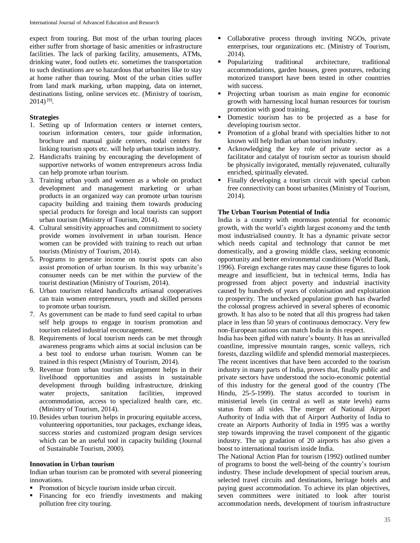expect from touring. But most of the urban touring places either suffer from shortage of basic amenities or infrastructure facilities. The lack of parking facility, amusements, ATMs, drinking water, food outlets etc. sometimes the transportation to such destinations are so hazardous that urbanites like to stay at home rather than touring. Most of the urban cities suffer from land mark marking, urban mapping, data on internet, destinations listing, online services etc. (Ministry of tourism,  $2014)$ <sup>[9]</sup>.

## **Strategies**

- 1. Setting up of Information centers or internet centers, tourism information centers, tour guide information, brochure and manual guide centers, nodal centers for linking tourism spots etc. will help urban tourism industry.
- 2. Handicrafts training by encouraging the development of supportive networks of women entrepreneurs across India can help promote urban tourism.
- 3. Training urban youth and women as a whole on product development and management marketing or urban products in an organized way can promote urban tourism capacity building and training them towards producing special products for foreign and local tourists can support urban tourism (Ministry of Tourism, 2014).
- 4. Cultural sensitivity approaches and commitment to society provide women involvement in urban tourism. Hence women can be provided with training to reach out urban tourists (Ministry of Tourism, 2014).
- 5. Programs to generate income on tourist spots can also assist promotion of urban tourism. In this way urbanite's consumer needs can be met within the purview of the tourist destination (Ministry of Tourism, 2014).
- 6. Urban tourism related handicrafts artisanal cooperatives can train women entrepreneurs, youth and skilled persons to promote urban tourism.
- 7. As government can be made to fund seed capital to urban self help groups to engage in tourism promotion and tourism related industrial encouragement.
- 8. Requirements of local tourism needs can be met through awareness programs which aims at social inclusion can be a best tool to endorse urban tourism. Women can be trained in this respect (Ministry of Tourism, 2014).
- 9. Revenue from urban tourism enlargement helps in their livelihood opportunities and assists in sustainable development through building infrastructure, drinking water projects, sanitation facilities, improved accommodation, access to specialized health care, etc. (Ministry of Tourism, 2014).
- 10.Besides urban tourism helps in procuring equitable access, volunteering opportunities, tour packages, exchange ideas, success stories and customized program design services which can be an useful tool in capacity building (Journal of Sustainable Tourism, 2000).

### **Innovation in Urban tourism**

Indian urban tourism can be promoted with several pioneering innovations.

- Promotion of bicycle tourism inside urban circuit.
- Financing for eco friendly investments and making pollution free city touring.
- Collaborative process through inviting NGOs, private enterprises, tour organizations etc. (Ministry of Tourism, 2014).
- Popularizing traditional architecture, traditional accommodations, garden houses, green postures, reducing motorized transport have been tested in other countries with success.
- Projecting urban tourism as main engine for economic growth with harnessing local human resources for tourism promotion with good training.
- Domestic tourism has to be projected as a base for developing tourism sector.
- Promotion of a global brand with specialties hither to not known will help Indian urban tourism industry.
- Acknowledging the key role of private sector as a facilitator and catalyst of tourism sector as tourism should be physically invigorated, mentally rejuvenated, culturally enriched, spiritually elevated.
- Finally developing a tourism circuit with special carbon free connectivity can boost urbanites (Ministry of Tourism, 2014).

## **The Urban Tourism Potential of India**

India is a country with enormous potential for economic growth, with the world's eighth largest economy and the tenth most industrialised country. It has a dynamic private sector which needs capital and technology that cannot be met domestically, and a growing middle class, seeking economic opportunity and better environmental conditions (World Bank, 1996). Foreign exchange rates may cause these figures to look meagre and insufficient, but in technical terms, India has progressed from abject poverty and industrial inactivity caused by hundreds of years of colonisation and exploitation to prosperity. The unchecked population growth has dwarfed the colossal progress achieved in several spheres of economic growth. It has also to be noted that all this progress had taken place in less than 50 years of continuous democracy. Very few non-European nations can match India in this respect.

India has been gifted with nature's bounty. It has an unrivalled coastline, impressive mountain ranges, scenic valleys, rich forests, dazzling wildlife and splendid memorial masterpieces. The recent incentives that have been accorded to the tourism industry in many parts of India, proves that, finally public and private sectors have understood the socio-economic potential of this industry for the general good of the country (The Hindu, 25-5-1999). The status accorded to tourism in ministerial levels (in central as well as state levels) earns status from all sides. The merger of National Airport Authority of India with that of Airport Authority of India to create an Airports Authority of India in 1995 was a worthy step towards improving the travel component of the gigantic industry. The up gradation of 20 airports has also given a boost to international tourism inside India.

The National Action Plan for tourism (1992) outlined number of programs to boost the well-being of the country's tourism industry. These include development of special tourism areas, selected travel circuits and destinations, heritage hotels and paying guest accommodation. To achieve its plan objectives, seven committees were initiated to look after tourist accommodation needs, development of tourism infrastructure